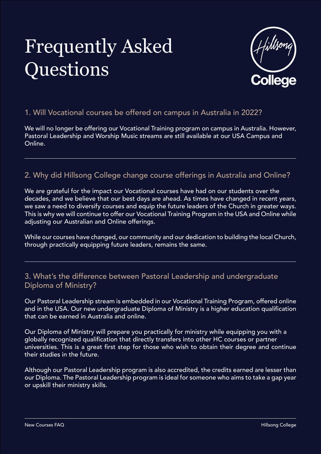

1. Will Vocational courses be offered on campus in Australia in 2022?

We will no longer be offering our Vocational Training program on campus in Australia. However, Pastoral Leadership and Worship Music streams are still available at our USA Campus and Online.

#### 2. Why did Hillsong College change course offerings in Australia and Online?

We are grateful for the impact our Vocational courses have had on our students over the decades, and we believe that our best days are ahead. As times have changed in recent years, we saw a need to diversify courses and equip the future leaders of the Church in greater ways. This is why we will continue to offer our Vocational Training Program in the USA and Online while adjusting our Australian and Online offerings.

While our courses have changed, our community and our dedication to building the local Church, through practically equipping future leaders, remains the same.

3. What's the difference between Pastoral Leadership and undergraduate Diploma of Ministry?

Our Pastoral Leadership stream is embedded in our Vocational Training Program, offered online and in the USA. Our new undergraduate Diploma of Ministry is a higher education qualification that can be earned in Australia and online.

Our Diploma of Ministry will prepare you practically for ministry while equipping you with a globally recognized qualification that directly transfers into other HC courses or partner universities. This is a great first step for those who wish to obtain their degree and continue their studies in the future.

Although our Pastoral Leadership program is also accredited, the credits earned are lesser than our Diploma. The Pastoral Leadership program is ideal for someone who aims to take a gap year or upskill their ministry skills.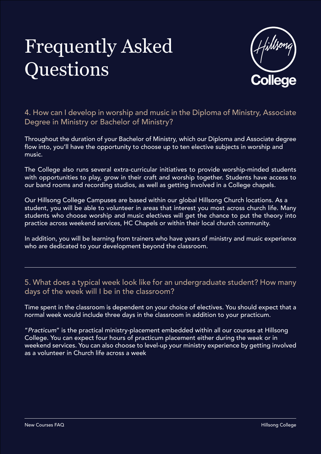

### 4. How can I develop in worship and music in the Diploma of Ministry, Associate

Degree in Ministry or Bachelor of Ministry?

Throughout the duration of your Bachelor of Ministry, which our Diploma and Associate degree flow into, you'll have the opportunity to choose up to ten elective subjects in worship and music.

The College also runs several extra-curricular initiatives to provide worship-minded students with opportunities to play, grow in their craft and worship together. Students have access to our band rooms and recording studios, as well as getting involved in a College chapels.

5. What does a typical week look like for an undergraduate student? How many days of the week will I be in the classroom?

Our Hillsong College Campuses are based within our global Hillsong Church locations. As a student, you will be able to volunteer in areas that interest you most across church life. Many students who choose worship and music electives will get the chance to put the theory into practice across weekend services, HC Chapels or within their local church community.

In addition, you will be learning from trainers who have years of ministry and music experience who are dedicated to your development beyond the classroom.

Time spent in the classroom is dependent on your choice of electives. You should expect that a normal week would include three days in the classroom in addition to your practicum.

"*Practicum*" is the practical ministry-placement embedded within all our courses at Hillsong College. You can expect four hours of practicum placement either during the week or in weekend services. You can also choose to level-up your ministry experience by getting involved as a volunteer in Church life across a week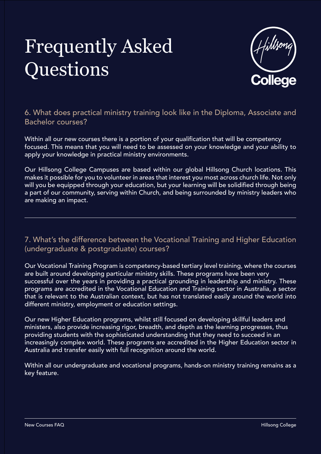

Within all our new courses there is a portion of your qualification that will be competency focused. This means that you will need to be assessed on your knowledge and your ability to apply your knowledge in practical ministry environments.

6. What does practical ministry training look like in the Diploma, Associate and Bachelor courses?

Our Hillsong College Campuses are based within our global Hillsong Church locations. This makes it possible for you to volunteer in areas that interest you most across church life. Not only will you be equipped through your education, but your learning will be solidified through being a part of our community, serving within Church, and being surrounded by ministry leaders who are making an impact.

7. What's the difference between the Vocational Training and Higher Education (undergraduate & postgraduate) courses?

Our Vocational Training Program is competency-based tertiary level training, where the courses are built around developing particular ministry skills. These programs have been very successful over the years in providing a practical grounding in leadership and ministry. These programs are accredited in the Vocational Education and Training sector in Australia, a sector that is relevant to the Australian context, but has not translated easily around the world into different ministry, employment or education settings.

Our new Higher Education programs, whilst still focused on developing skillful leaders and ministers, also provide increasing rigor, breadth, and depth as the learning progresses, thus providing students with the sophisticated understanding that they need to succeed in an increasingly complex world. These programs are accredited in the Higher Education sector in Australia and transfer easily with full recognition around the world.

Within all our undergraduate and vocational programs, hands-on ministry training remains as a key feature.